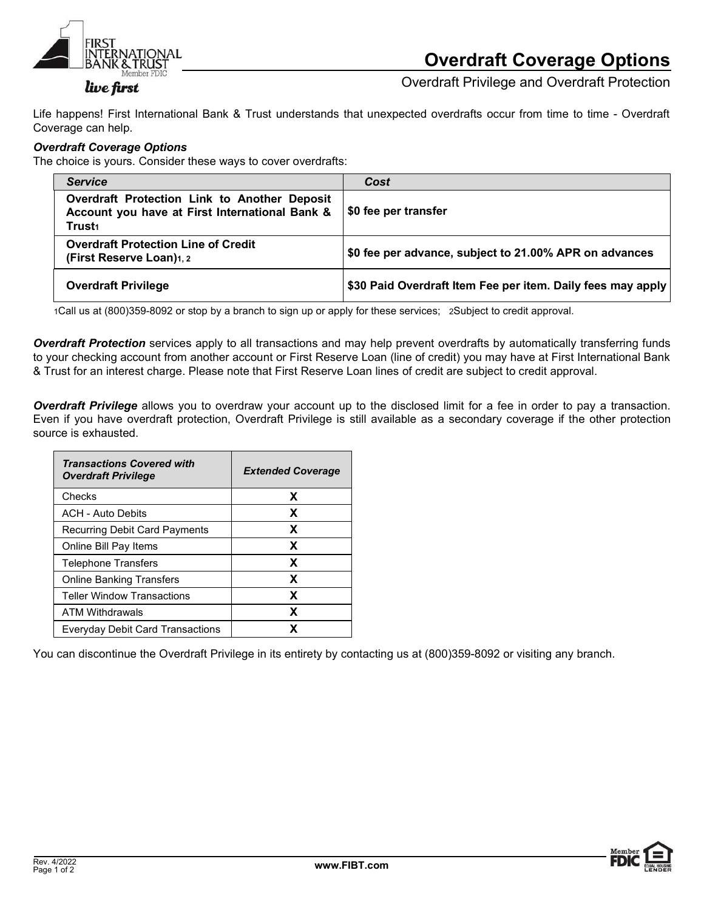

## Overdraft Coverage Options

live first

Overdraft Privilege and Overdraft Protection

Life happens! First International Bank & Trust understands that unexpected overdrafts occur from time to time - Overdraft Coverage can help.

## Overdraft Coverage Options

The choice is yours. Consider these ways to cover overdrafts:

| <b>Service</b>                                                                                                       | Cost                                                        |
|----------------------------------------------------------------------------------------------------------------------|-------------------------------------------------------------|
| Overdraft Protection Link to Another Deposit<br>Account you have at First International Bank &<br>Trust <sub>1</sub> | <sup>∣</sup> \$0 fee per transfer                           |
| <b>Overdraft Protection Line of Credit</b><br>(First Reserve Loan)1, 2                                               | \$0 fee per advance, subject to 21.00% APR on advances      |
| <b>Overdraft Privilege</b>                                                                                           | \$30 Paid Overdraft Item Fee per item. Daily fees may apply |

1Call us at (800)359-8092 or stop by a branch to sign up or apply for these services; 2Subject to credit approval.

Overdraft Protection services apply to all transactions and may help prevent overdrafts by automatically transferring funds to your checking account from another account or First Reserve Loan (line of credit) you may have at First International Bank & Trust for an interest charge. Please note that First Reserve Loan lines of credit are subject to credit approval.

Overdraft Privilege allows you to overdraw your account up to the disclosed limit for a fee in order to pay a transaction. Even if you have overdraft protection, Overdraft Privilege is still available as a secondary coverage if the other protection source is exhausted.

| <b>Transactions Covered with</b><br><b>Overdraft Privilege</b> | <b>Extended Coverage</b> |
|----------------------------------------------------------------|--------------------------|
| Checks                                                         | x                        |
| <b>ACH - Auto Debits</b>                                       | x                        |
| Recurring Debit Card Payments                                  | x                        |
| Online Bill Pay Items                                          | x                        |
| <b>Telephone Transfers</b>                                     | x                        |
| <b>Online Banking Transfers</b>                                | x                        |
| <b>Teller Window Transactions</b>                              | x                        |
| <b>ATM Withdrawals</b>                                         | x                        |
| <b>Everyday Debit Card Transactions</b>                        | χ                        |

You can discontinue the Overdraft Privilege in its entirety by contacting us at (800)359-8092 or visiting any branch.